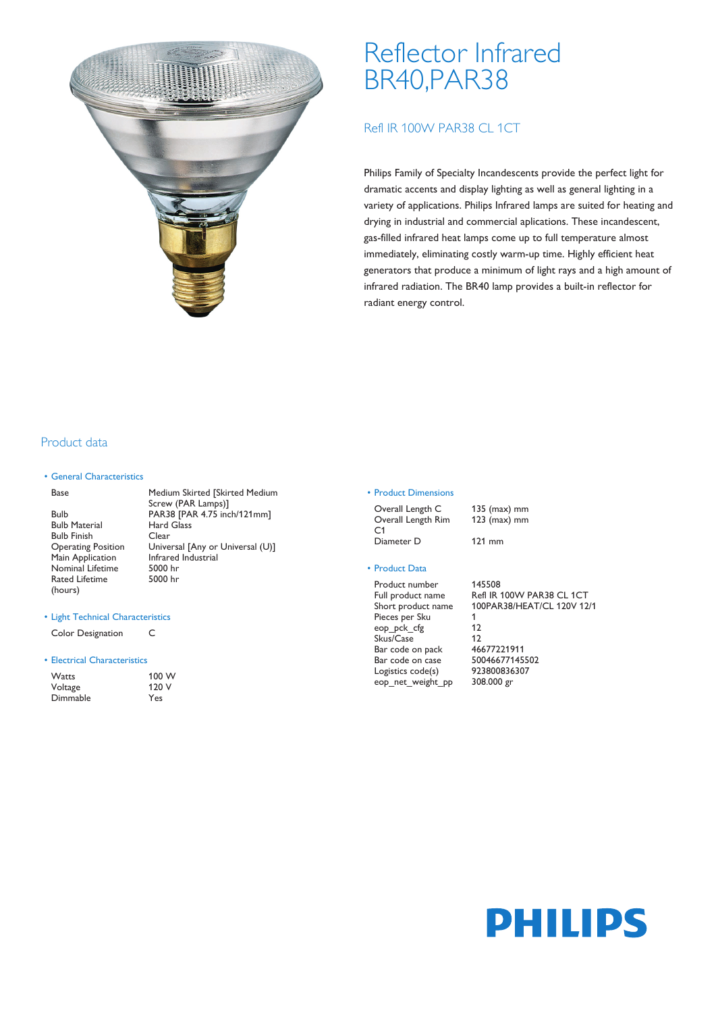

# Reflector Infrared BR40,PAR38

# Refl IR 100W PAR38 CL 1CT

Philips Family of Specialty Incandescents provide the perfect light for dramatic accents and display lighting as well as general lighting in a variety of applications. Philips Infrared lamps are suited for heating and drying in industrial and commercial aplications. These incandescent, gas-filled infrared heat lamps come up to full temperature almost immediately, eliminating costly warm-up time. Highly efficient heat generators that produce a minimum of light rays and a high amount of infrared radiation. The BR40 lamp provides a built-in reflector for radiant energy control.

# Product data

## • General Characteristics

### Base Medium Skirted [Skirted Medium

Bulb Material Hard Glass Bulb Finish Clear<br>Operating Position Unive Main Application Infrared<br>Nominal Lifetime 5000 hr Nominal Lifetime Rated Lifetime (hours)

Screw (PAR Lamps)] Bulb PAR38 [PAR 4.75 inch/121mm] Universal [Any or Universal (U)]<br>Infrared Industrial 5000 hr

#### • Light Technical Characteristics

Color Designation C

#### • Electrical Characteristics

| Watts    | 100 W |
|----------|-------|
| Voltage  | 120 V |
| Dimmable | Yes   |

## • Product Dimensions

Overall Length C 135 (max) mm Overall Length Rim C1 Diameter D 121 mm

## • Product Data

Product number 145508 Pieces per Sku 1<br>
eop pck cfg 12 eop\_pck\_cfg Skus/Case 12<br>Bar code on pack 46677221911 Bar code on pack 46677221911 Bar code on case Logistics code(s) 923800836307<br>eop net weight pp 308.000 gr eop\_net\_weight\_pp

123 (max) mm

Full product name Refl IR 100W PAR38 CL 1CT Short product name 100PAR38/HEAT/CL 120V 12/1